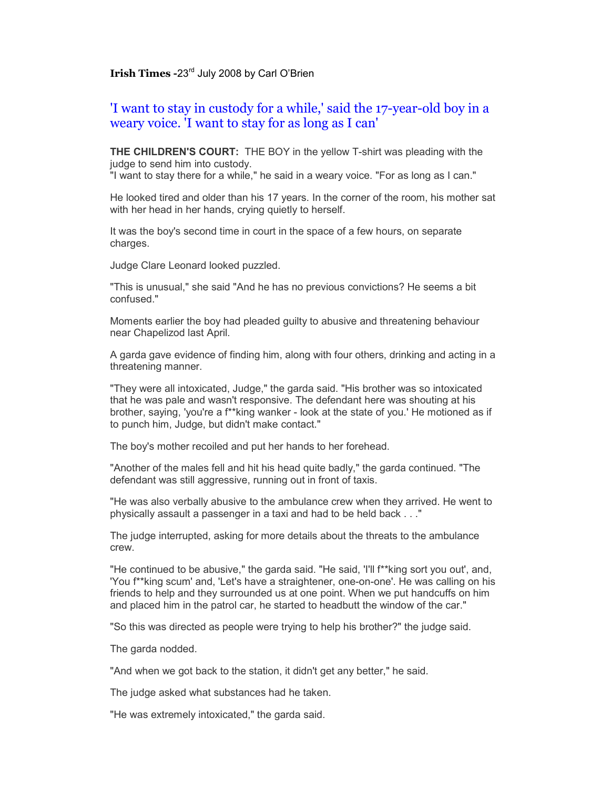## **Irish Times -**23rd July 2008 by Carl O'Brien

## 'I want to stay in custody for a while,' said the 17-year-old boy in a weary voice. 'I want to stay for as long as I can'

**THE CHILDREN'S COURT:** THE BOY in the yellow T-shirt was pleading with the judge to send him into custody.

"I want to stay there for a while," he said in a weary voice. "For as long as I can."

He looked tired and older than his 17 years. In the corner of the room, his mother sat with her head in her hands, crying quietly to herself.

It was the boy's second time in court in the space of a few hours, on separate charges.

Judge Clare Leonard looked puzzled.

"This is unusual," she said "And he has no previous convictions? He seems a bit confused."

Moments earlier the boy had pleaded guilty to abusive and threatening behaviour near Chapelizod last April.

A garda gave evidence of finding him, along with four others, drinking and acting in a threatening manner.

"They were all intoxicated, Judge," the garda said. "His brother was so intoxicated that he was pale and wasn't responsive. The defendant here was shouting at his brother, saying, 'you're a f\*\*king wanker - look at the state of you.' He motioned as if to punch him, Judge, but didn't make contact."

The boy's mother recoiled and put her hands to her forehead.

"Another of the males fell and hit his head quite badly," the garda continued. "The defendant was still aggressive, running out in front of taxis.

"He was also verbally abusive to the ambulance crew when they arrived. He went to physically assault a passenger in a taxi and had to be held back . . ."

The judge interrupted, asking for more details about the threats to the ambulance crew.

"He continued to be abusive," the garda said. "He said, 'I'll f\*\*king sort you out', and, 'You f\*\*king scum' and, 'Let's have a straightener, one-on-one'. He was calling on his friends to help and they surrounded us at one point. When we put handcuffs on him and placed him in the patrol car, he started to headbutt the window of the car."

"So this was directed as people were trying to help his brother?" the judge said.

The garda nodded.

"And when we got back to the station, it didn't get any better," he said.

The judge asked what substances had he taken.

"He was extremely intoxicated," the garda said.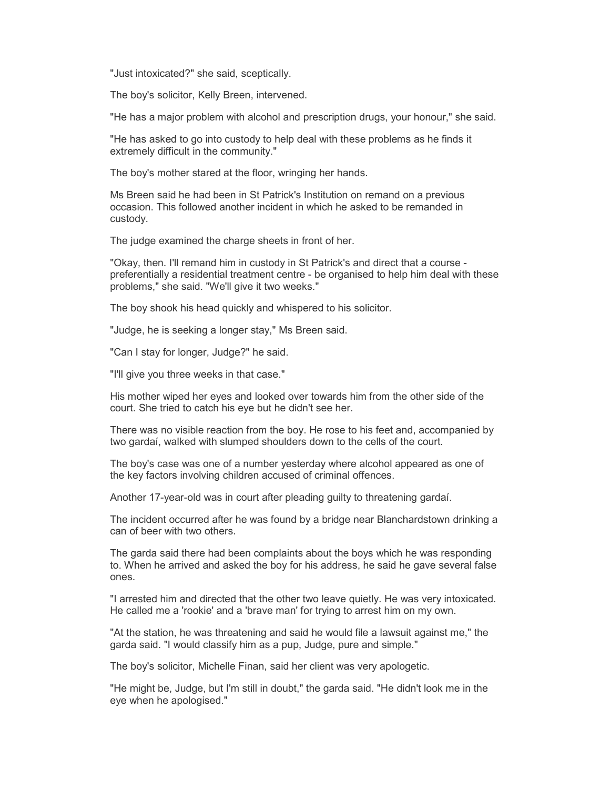"Just intoxicated?" she said, sceptically.

The boy's solicitor, Kelly Breen, intervened.

"He has a major problem with alcohol and prescription drugs, your honour," she said.

"He has asked to go into custody to help deal with these problems as he finds it extremely difficult in the community."

The boy's mother stared at the floor, wringing her hands.

Ms Breen said he had been in St Patrick's Institution on remand on a previous occasion. This followed another incident in which he asked to be remanded in custody.

The judge examined the charge sheets in front of her.

"Okay, then. I'll remand him in custody in St Patrick's and direct that a course preferentially a residential treatment centre - be organised to help him deal with these problems," she said. "We'll give it two weeks."

The boy shook his head quickly and whispered to his solicitor.

"Judge, he is seeking a longer stay," Ms Breen said.

"Can I stay for longer, Judge?" he said.

"I'll give you three weeks in that case."

His mother wiped her eyes and looked over towards him from the other side of the court. She tried to catch his eye but he didn't see her.

There was no visible reaction from the boy. He rose to his feet and, accompanied by two gardaí, walked with slumped shoulders down to the cells of the court.

The boy's case was one of a number yesterday where alcohol appeared as one of the key factors involving children accused of criminal offences.

Another 17-year-old was in court after pleading guilty to threatening gardaí.

The incident occurred after he was found by a bridge near Blanchardstown drinking a can of beer with two others.

The garda said there had been complaints about the boys which he was responding to. When he arrived and asked the boy for his address, he said he gave several false ones.

"I arrested him and directed that the other two leave quietly. He was very intoxicated. He called me a 'rookie' and a 'brave man' for trying to arrest him on my own.

"At the station, he was threatening and said he would file a lawsuit against me," the garda said. "I would classify him as a pup, Judge, pure and simple."

The boy's solicitor, Michelle Finan, said her client was very apologetic.

"He might be, Judge, but I'm still in doubt," the garda said. "He didn't look me in the eye when he apologised."